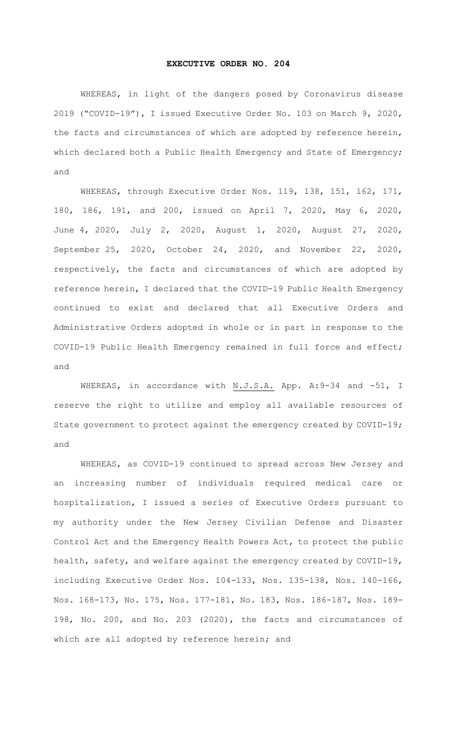## **EXECUTIVE ORDER NO. 204**

WHEREAS, in light of the dangers posed by Coronavirus disease 2019 ("COVID-19"), I issued Executive Order No. 103 on March 9, 2020, the facts and circumstances of which are adopted by reference herein, which declared both a Public Health Emergency and State of Emergency; and

WHEREAS, through Executive Order Nos. 119, 138, 151, 162, 171, 180, 186, 191, and 200, issued on April 7, 2020, May 6, 2020, June 4, 2020, July 2, 2020, August 1, 2020, August 27, 2020, September 25, 2020, October 24, 2020, and November 22, 2020, respectively, the facts and circumstances of which are adopted by reference herein, I declared that the COVID-19 Public Health Emergency continued to exist and declared that all Executive Orders and Administrative Orders adopted in whole or in part in response to the COVID-19 Public Health Emergency remained in full force and effect; and

WHEREAS, in accordance with N.J.S.A. App. A:9-34 and -51, I reserve the right to utilize and employ all available resources of State government to protect against the emergency created by COVID-19; and

WHEREAS, as COVID-19 continued to spread across New Jersey and an increasing number of individuals required medical care or hospitalization, I issued a series of Executive Orders pursuant to my authority under the New Jersey Civilian Defense and Disaster Control Act and the Emergency Health Powers Act, to protect the public health, safety, and welfare against the emergency created by COVID-19, including Executive Order Nos. 104-133, Nos. 135-138, Nos. 140-166, Nos. 168-173, No. 175, Nos. 177-181, No. 183, Nos. 186-187, Nos. 189- 198, No. 200, and No. 203 (2020), the facts and circumstances of which are all adopted by reference herein; and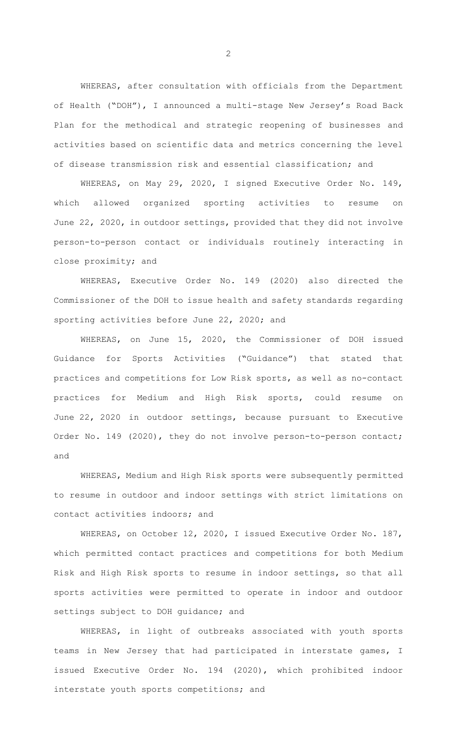WHEREAS, after consultation with officials from the Department of Health ("DOH"), I announced a multi-stage New Jersey's Road Back Plan for the methodical and strategic reopening of businesses and activities based on scientific data and metrics concerning the level of disease transmission risk and essential classification; and

WHEREAS, on May 29, 2020, I signed Executive Order No. 149, which allowed organized sporting activities to resume on June 22, 2020, in outdoor settings, provided that they did not involve person-to-person contact or individuals routinely interacting in close proximity; and

WHEREAS, Executive Order No. 149 (2020) also directed the Commissioner of the DOH to issue health and safety standards regarding sporting activities before June 22, 2020; and

WHEREAS, on June 15, 2020, the Commissioner of DOH issued Guidance for Sports Activities ("Guidance") that stated that practices and competitions for Low Risk sports, as well as no-contact practices for Medium and High Risk sports, could resume on June 22, 2020 in outdoor settings, because pursuant to Executive Order No. 149 (2020), they do not involve person-to-person contact; and

WHEREAS, Medium and High Risk sports were subsequently permitted to resume in outdoor and indoor settings with strict limitations on contact activities indoors; and

WHEREAS, on October 12, 2020, I issued Executive Order No. 187, which permitted contact practices and competitions for both Medium Risk and High Risk sports to resume in indoor settings, so that all sports activities were permitted to operate in indoor and outdoor settings subject to DOH guidance; and

WHEREAS, in light of outbreaks associated with youth sports teams in New Jersey that had participated in interstate games, I issued Executive Order No. 194 (2020), which prohibited indoor interstate youth sports competitions; and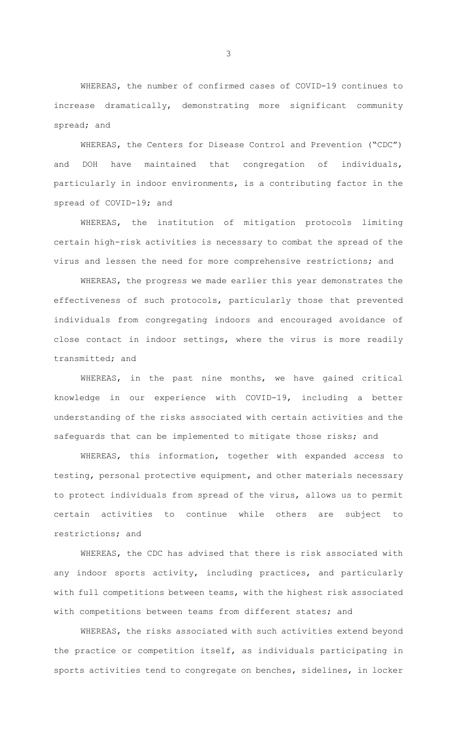WHEREAS, the number of confirmed cases of COVID-19 continues to increase dramatically, demonstrating more significant community spread; and

WHEREAS, the Centers for Disease Control and Prevention ("CDC") and DOH have maintained that congregation of individuals, particularly in indoor environments, is a contributing factor in the spread of COVID-19; and

WHEREAS, the institution of mitigation protocols limiting certain high-risk activities is necessary to combat the spread of the virus and lessen the need for more comprehensive restrictions; and

WHEREAS, the progress we made earlier this year demonstrates the effectiveness of such protocols, particularly those that prevented individuals from congregating indoors and encouraged avoidance of close contact in indoor settings, where the virus is more readily transmitted; and

WHEREAS, in the past nine months, we have gained critical knowledge in our experience with COVID-19, including a better understanding of the risks associated with certain activities and the safeguards that can be implemented to mitigate those risks; and

WHEREAS, this information, together with expanded access to testing, personal protective equipment, and other materials necessary to protect individuals from spread of the virus, allows us to permit certain activities to continue while others are subject to restrictions; and

WHEREAS, the CDC has advised that there is risk associated with any indoor sports activity, including practices, and particularly with full competitions between teams, with the highest risk associated with competitions between teams from different states; and

WHEREAS, the risks associated with such activities extend beyond the practice or competition itself, as individuals participating in sports activities tend to congregate on benches, sidelines, in locker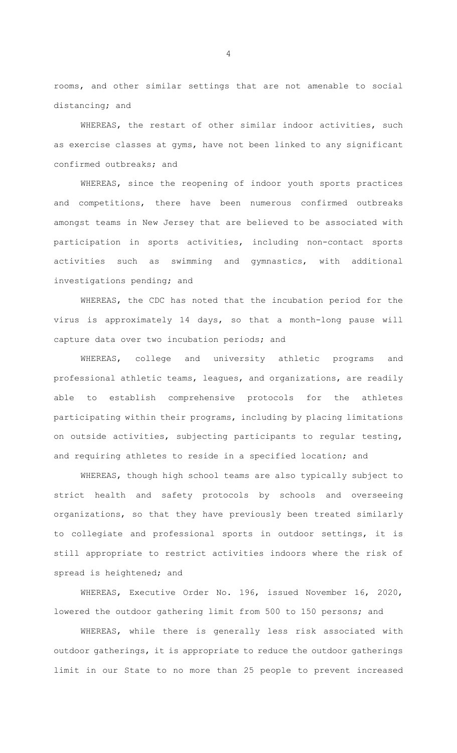rooms, and other similar settings that are not amenable to social distancing; and

WHEREAS, the restart of other similar indoor activities, such as exercise classes at gyms, have not been linked to any significant confirmed outbreaks; and

WHEREAS, since the reopening of indoor youth sports practices and competitions, there have been numerous confirmed outbreaks amongst teams in New Jersey that are believed to be associated with participation in sports activities, including non-contact sports activities such as swimming and gymnastics, with additional investigations pending; and

WHEREAS, the CDC has noted that the incubation period for the virus is approximately 14 days, so that a month-long pause will capture data over two incubation periods; and

WHEREAS, college and university athletic programs and professional athletic teams, leagues, and organizations, are readily able to establish comprehensive protocols for the athletes participating within their programs, including by placing limitations on outside activities, subjecting participants to regular testing, and requiring athletes to reside in a specified location; and

WHEREAS, though high school teams are also typically subject to strict health and safety protocols by schools and overseeing organizations, so that they have previously been treated similarly to collegiate and professional sports in outdoor settings, it is still appropriate to restrict activities indoors where the risk of spread is heightened; and

WHEREAS, Executive Order No. 196, issued November 16, 2020, lowered the outdoor gathering limit from 500 to 150 persons; and

WHEREAS, while there is generally less risk associated with outdoor gatherings, it is appropriate to reduce the outdoor gatherings limit in our State to no more than 25 people to prevent increased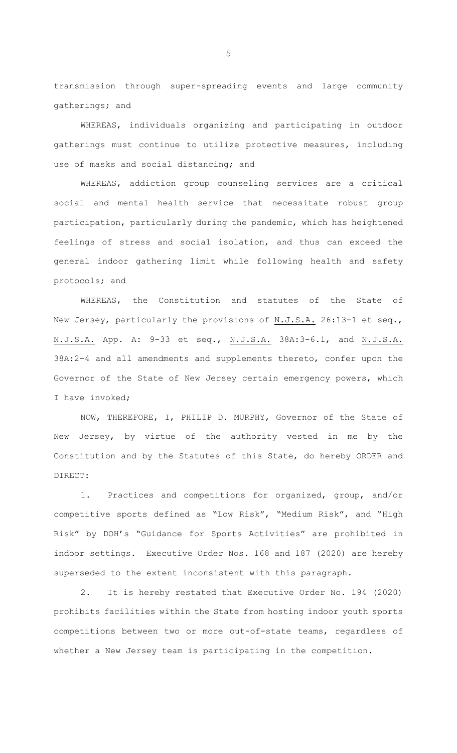transmission through super-spreading events and large community gatherings; and

WHEREAS, individuals organizing and participating in outdoor gatherings must continue to utilize protective measures, including use of masks and social distancing; and

WHEREAS, addiction group counseling services are a critical social and mental health service that necessitate robust group participation, particularly during the pandemic, which has heightened feelings of stress and social isolation, and thus can exceed the general indoor gathering limit while following health and safety protocols; and

WHEREAS, the Constitution and statutes of the State of New Jersey, particularly the provisions of N.J.S.A. 26:13-1 et seq., N.J.S.A. App. A: 9-33 et seq., N.J.S.A. 38A:3-6.1, and N.J.S.A. 38A:2-4 and all amendments and supplements thereto, confer upon the Governor of the State of New Jersey certain emergency powers, which I have invoked;

NOW, THEREFORE, I, PHILIP D. MURPHY, Governor of the State of New Jersey, by virtue of the authority vested in me by the Constitution and by the Statutes of this State, do hereby ORDER and DIRECT:

1. Practices and competitions for organized, group, and/or competitive sports defined as "Low Risk", "Medium Risk", and "High Risk" by DOH's "Guidance for Sports Activities" are prohibited in indoor settings. Executive Order Nos. 168 and 187 (2020) are hereby superseded to the extent inconsistent with this paragraph.

2. It is hereby restated that Executive Order No. 194 (2020) prohibits facilities within the State from hosting indoor youth sports competitions between two or more out-of-state teams, regardless of whether a New Jersey team is participating in the competition.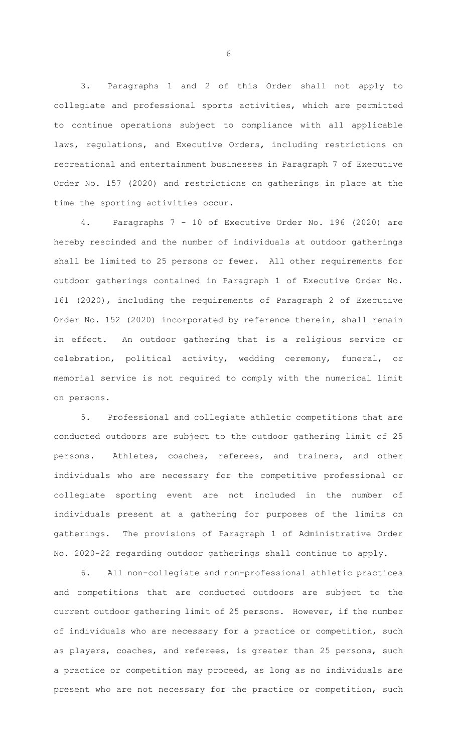3. Paragraphs 1 and 2 of this Order shall not apply to collegiate and professional sports activities, which are permitted to continue operations subject to compliance with all applicable laws, regulations, and Executive Orders, including restrictions on recreational and entertainment businesses in Paragraph 7 of Executive Order No. 157 (2020) and restrictions on gatherings in place at the time the sporting activities occur.

4. Paragraphs 7 - 10 of Executive Order No. 196 (2020) are hereby rescinded and the number of individuals at outdoor gatherings shall be limited to 25 persons or fewer. All other requirements for outdoor gatherings contained in Paragraph 1 of Executive Order No. 161 (2020), including the requirements of Paragraph 2 of Executive Order No. 152 (2020) incorporated by reference therein, shall remain in effect. An outdoor gathering that is a religious service or celebration, political activity, wedding ceremony, funeral, or memorial service is not required to comply with the numerical limit on persons.

5. Professional and collegiate athletic competitions that are conducted outdoors are subject to the outdoor gathering limit of 25 persons. Athletes, coaches, referees, and trainers, and other individuals who are necessary for the competitive professional or collegiate sporting event are not included in the number of individuals present at a gathering for purposes of the limits on gatherings. The provisions of Paragraph 1 of Administrative Order No. 2020-22 regarding outdoor gatherings shall continue to apply.

6. All non-collegiate and non-professional athletic practices and competitions that are conducted outdoors are subject to the current outdoor gathering limit of 25 persons. However, if the number of individuals who are necessary for a practice or competition, such as players, coaches, and referees, is greater than 25 persons, such a practice or competition may proceed, as long as no individuals are present who are not necessary for the practice or competition, such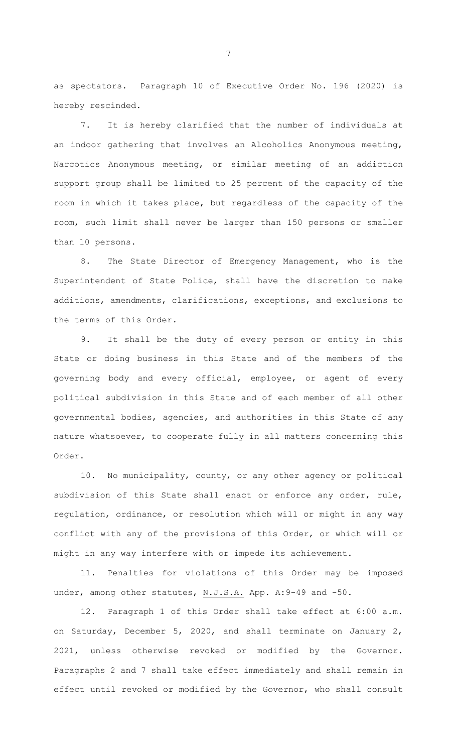as spectators. Paragraph 10 of Executive Order No. 196 (2020) is hereby rescinded.

7. It is hereby clarified that the number of individuals at an indoor gathering that involves an Alcoholics Anonymous meeting, Narcotics Anonymous meeting, or similar meeting of an addiction support group shall be limited to 25 percent of the capacity of the room in which it takes place, but regardless of the capacity of the room, such limit shall never be larger than 150 persons or smaller than 10 persons.

8. The State Director of Emergency Management, who is the Superintendent of State Police, shall have the discretion to make additions, amendments, clarifications, exceptions, and exclusions to the terms of this Order.

9. It shall be the duty of every person or entity in this State or doing business in this State and of the members of the governing body and every official, employee, or agent of every political subdivision in this State and of each member of all other governmental bodies, agencies, and authorities in this State of any nature whatsoever, to cooperate fully in all matters concerning this Order.

10. No municipality, county, or any other agency or political subdivision of this State shall enact or enforce any order, rule, regulation, ordinance, or resolution which will or might in any way conflict with any of the provisions of this Order, or which will or might in any way interfere with or impede its achievement.

11. Penalties for violations of this Order may be imposed under, among other statutes, N.J.S.A. App. A: 9-49 and -50.

12. Paragraph 1 of this Order shall take effect at 6:00 a.m. on Saturday, December 5, 2020, and shall terminate on January 2, 2021, unless otherwise revoked or modified by the Governor. Paragraphs 2 and 7 shall take effect immediately and shall remain in effect until revoked or modified by the Governor, who shall consult